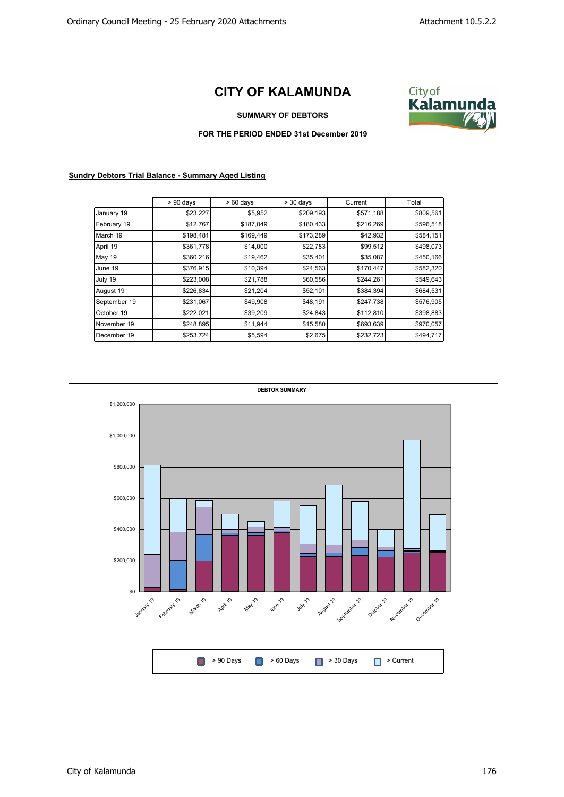## **CITY OF KALAMUNDA**



**SUMMARY OF DEBTORS**

## **FOR THE PERIOD ENDED 31st December 2019**

## **Sundry Debtors Trial Balance - Summary Aged Listing**

|               | $> 90$ days | $>60$ days | $> 30$ days | Current   | Total     |
|---------------|-------------|------------|-------------|-----------|-----------|
| January 19    | \$23,227    | \$5,952    | \$209,193   | \$571,188 | \$809,561 |
| February 19   | \$12,767    | \$187,049  | \$180,433   | \$216,269 | \$596,518 |
| March 19      | \$198,481   | \$169,449  | \$173,289   | \$42,932  | \$584,151 |
| April 19      | \$361,778   | \$14,000   | \$22,783    | \$99,512  | \$498,073 |
| <b>May 19</b> | \$360,216   | \$19,462   | \$35,401    | \$35,087  | \$450,166 |
| June 19       | \$376,915   | \$10,394   | \$24,563    | \$170,447 | \$582,320 |
| July 19       | \$223,008   | \$21,788   | \$60,586    | \$244,261 | \$549,643 |
| August 19     | \$226,834   | \$21,204   | \$52,101    | \$384,394 | \$684,531 |
| September 19  | \$231,067   | \$49,908   | \$48,191    | \$247,738 | \$576,905 |
| October 19    | \$222,021   | \$39,209   | \$24,843    | \$112,810 | \$398,883 |
| November 19   | \$248,895   | \$11,944   | \$15,580    | \$693,639 | \$970,057 |
| December 19   | \$253,724   | \$5,594    | \$2,675     | \$232,723 | \$494,717 |



| ■ > 90 Days ■ > 60 Days ■ > 30 Days ■ > Current |
|-------------------------------------------------|
|-------------------------------------------------|